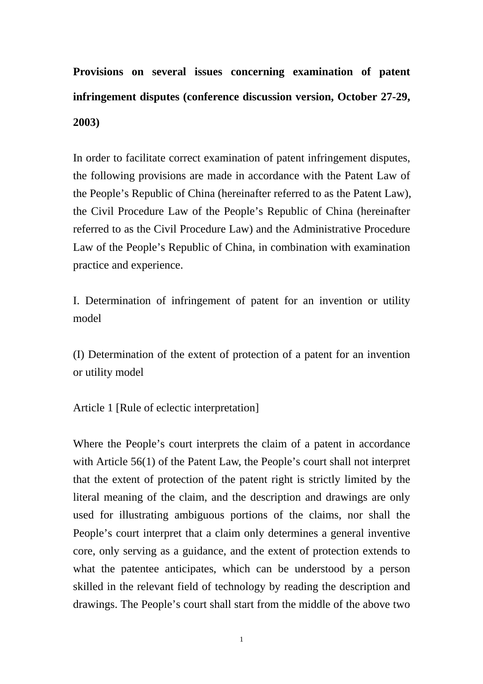**Provisions on several issues concerning examination of patent infringement disputes (conference discussion version, October 27-29, 2003)**

In order to facilitate correct examination of patent infringement disputes, the following provisions are made in accordance with the Patent Law of the People's Republic of China (hereinafter referred to as the Patent Law), the Civil Procedure Law of the People's Republic of China (hereinafter referred to as the Civil Procedure Law) and the Administrative Procedure Law of the People's Republic of China, in combination with examination practice and experience.

I. Determination of infringement of patent for an invention or utility model

(I) Determination of the extent of protection of a patent for an invention or utility model

Article 1 [Rule of eclectic interpretation]

Where the People's court interprets the claim of a patent in accordance with Article 56(1) of the Patent Law, the People's court shall not interpret that the extent of protection of the patent right is strictly limited by the literal meaning of the claim, and the description and drawings are only used for illustrating ambiguous portions of the claims, nor shall the People's court interpret that a claim only determines a general inventive core, only serving as a guidance, and the extent of protection extends to what the patentee anticipates, which can be understood by a person skilled in the relevant field of technology by reading the description and drawings. The People's court shall start from the middle of the above two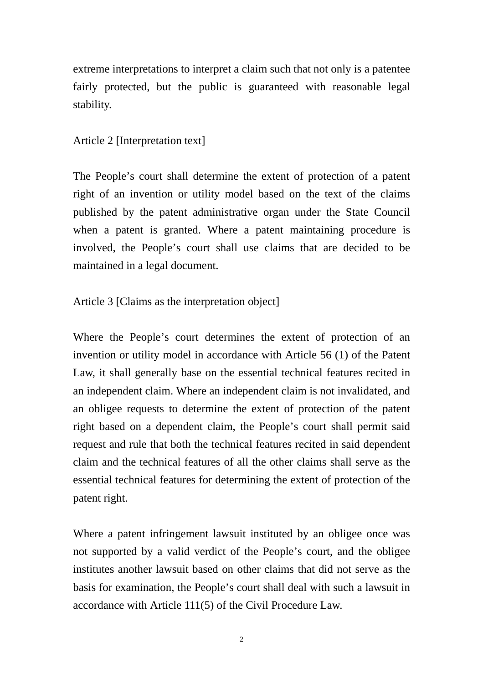extreme interpretations to interpret a claim such that not only is a patentee fairly protected, but the public is guaranteed with reasonable legal stability.

# Article 2 [Interpretation text]

The People's court shall determine the extent of protection of a patent right of an invention or utility model based on the text of the claims published by the patent administrative organ under the State Council when a patent is granted. Where a patent maintaining procedure is involved, the People's court shall use claims that are decided to be maintained in a legal document.

Article 3 [Claims as the interpretation object]

Where the People's court determines the extent of protection of an invention or utility model in accordance with Article 56 (1) of the Patent Law, it shall generally base on the essential technical features recited in an independent claim. Where an independent claim is not invalidated, and an obligee requests to determine the extent of protection of the patent right based on a dependent claim, the People's court shall permit said request and rule that both the technical features recited in said dependent claim and the technical features of all the other claims shall serve as the essential technical features for determining the extent of protection of the patent right.

Where a patent infringement lawsuit instituted by an obligee once was not supported by a valid verdict of the People's court, and the obligee institutes another lawsuit based on other claims that did not serve as the basis for examination, the People's court shall deal with such a lawsuit in accordance with Article 111(5) of the Civil Procedure Law.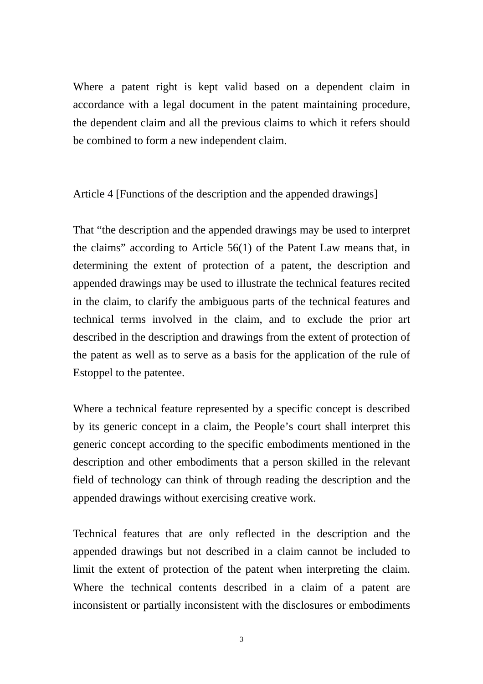Where a patent right is kept valid based on a dependent claim in accordance with a legal document in the patent maintaining procedure, the dependent claim and all the previous claims to which it refers should be combined to form a new independent claim.

Article 4 [Functions of the description and the appended drawings]

That "the description and the appended drawings may be used to interpret the claims" according to Article 56(1) of the Patent Law means that, in determining the extent of protection of a patent, the description and appended drawings may be used to illustrate the technical features recited in the claim, to clarify the ambiguous parts of the technical features and technical terms involved in the claim, and to exclude the prior art described in the description and drawings from the extent of protection of the patent as well as to serve as a basis for the application of the rule of Estoppel to the patentee.

Where a technical feature represented by a specific concept is described by its generic concept in a claim, the People's court shall interpret this generic concept according to the specific embodiments mentioned in the description and other embodiments that a person skilled in the relevant field of technology can think of through reading the description and the appended drawings without exercising creative work.

Technical features that are only reflected in the description and the appended drawings but not described in a claim cannot be included to limit the extent of protection of the patent when interpreting the claim. Where the technical contents described in a claim of a patent are inconsistent or partially inconsistent with the disclosures or embodiments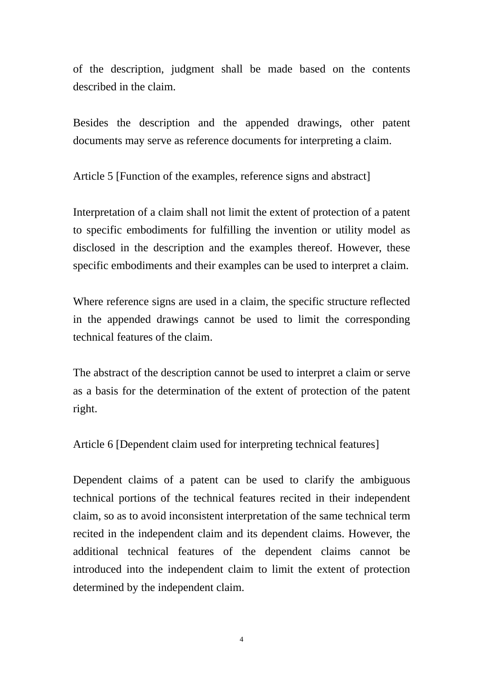of the description, judgment shall be made based on the contents described in the claim.

Besides the description and the appended drawings, other patent documents may serve as reference documents for interpreting a claim.

Article 5 [Function of the examples, reference signs and abstract]

Interpretation of a claim shall not limit the extent of protection of a patent to specific embodiments for fulfilling the invention or utility model as disclosed in the description and the examples thereof. However, these specific embodiments and their examples can be used to interpret a claim.

Where reference signs are used in a claim, the specific structure reflected in the appended drawings cannot be used to limit the corresponding technical features of the claim.

The abstract of the description cannot be used to interpret a claim or serve as a basis for the determination of the extent of protection of the patent right.

Article 6 [Dependent claim used for interpreting technical features]

Dependent claims of a patent can be used to clarify the ambiguous technical portions of the technical features recited in their independent claim, so as to avoid inconsistent interpretation of the same technical term recited in the independent claim and its dependent claims. However, the additional technical features of the dependent claims cannot be introduced into the independent claim to limit the extent of protection determined by the independent claim.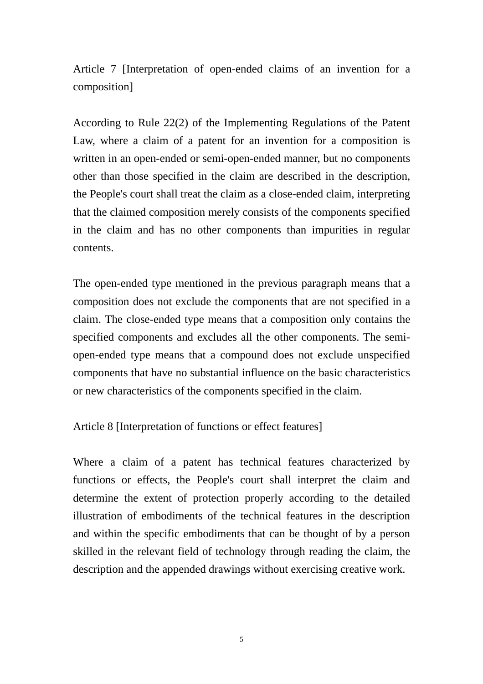Article 7 [Interpretation of open-ended claims of an invention for a composition]

According to Rule 22(2) of the Implementing Regulations of the Patent Law, where a claim of a patent for an invention for a composition is written in an open-ended or semi-open-ended manner, but no components other than those specified in the claim are described in the description, the People's court shall treat the claim as a close-ended claim, interpreting that the claimed composition merely consists of the components specified in the claim and has no other components than impurities in regular contents.

The open-ended type mentioned in the previous paragraph means that a composition does not exclude the components that are not specified in a claim. The close-ended type means that a composition only contains the specified components and excludes all the other components. The semiopen-ended type means that a compound does not exclude unspecified components that have no substantial influence on the basic characteristics or new characteristics of the components specified in the claim.

Article 8 [Interpretation of functions or effect features]

Where a claim of a patent has technical features characterized by functions or effects, the People's court shall interpret the claim and determine the extent of protection properly according to the detailed illustration of embodiments of the technical features in the description and within the specific embodiments that can be thought of by a person skilled in the relevant field of technology through reading the claim, the description and the appended drawings without exercising creative work.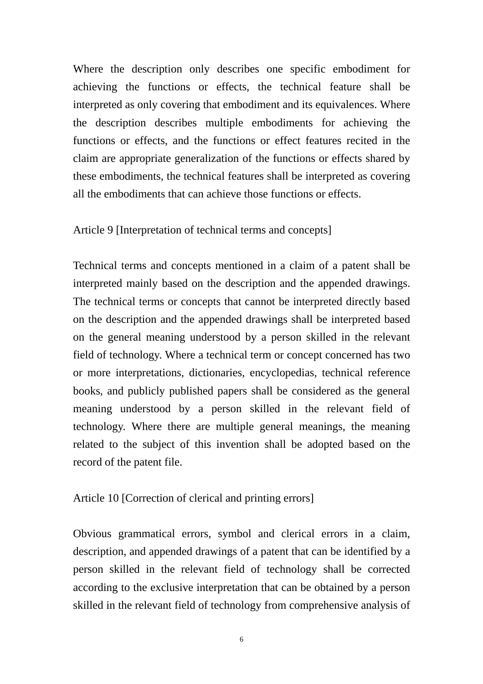Where the description only describes one specific embodiment for achieving the functions or effects, the technical feature shall be interpreted as only covering that embodiment and its equivalences. Where the description describes multiple embodiments for achieving the functions or effects, and the functions or effect features recited in the claim are appropriate generalization of the functions or effects shared by these embodiments, the technical features shall be interpreted as covering all the embodiments that can achieve those functions or effects.

#### Article 9 [Interpretation of technical terms and concepts]

Technical terms and concepts mentioned in a claim of a patent shall be interpreted mainly based on the description and the appended drawings. The technical terms or concepts that cannot be interpreted directly based on the description and the appended drawings shall be interpreted based on the general meaning understood by a person skilled in the relevant field of technology. Where a technical term or concept concerned has two or more interpretations, dictionaries, encyclopedias, technical reference books, and publicly published papers shall be considered as the general meaning understood by a person skilled in the relevant field of technology. Where there are multiple general meanings, the meaning related to the subject of this invention shall be adopted based on the record of the patent file.

#### Article 10 [Correction of clerical and printing errors]

Obvious grammatical errors, symbol and clerical errors in a claim, description, and appended drawings of a patent that can be identified by a person skilled in the relevant field of technology shall be corrected according to the exclusive interpretation that can be obtained by a person skilled in the relevant field of technology from comprehensive analysis of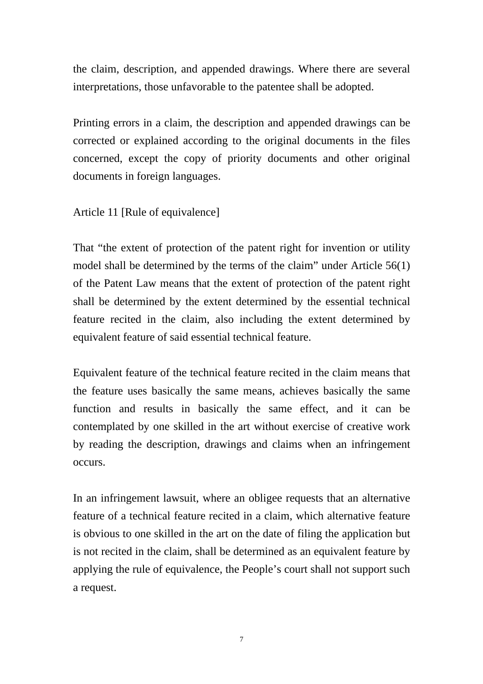the claim, description, and appended drawings. Where there are several interpretations, those unfavorable to the patentee shall be adopted.

Printing errors in a claim, the description and appended drawings can be corrected or explained according to the original documents in the files concerned, except the copy of priority documents and other original documents in foreign languages.

Article 11 [Rule of equivalence]

That "the extent of protection of the patent right for invention or utility model shall be determined by the terms of the claim" under Article 56(1) of the Patent Law means that the extent of protection of the patent right shall be determined by the extent determined by the essential technical feature recited in the claim, also including the extent determined by equivalent feature of said essential technical feature.

Equivalent feature of the technical feature recited in the claim means that the feature uses basically the same means, achieves basically the same function and results in basically the same effect, and it can be contemplated by one skilled in the art without exercise of creative work by reading the description, drawings and claims when an infringement occurs.

In an infringement lawsuit, where an obligee requests that an alternative feature of a technical feature recited in a claim, which alternative feature is obvious to one skilled in the art on the date of filing the application but is not recited in the claim, shall be determined as an equivalent feature by applying the rule of equivalence, the People's court shall not support such a request.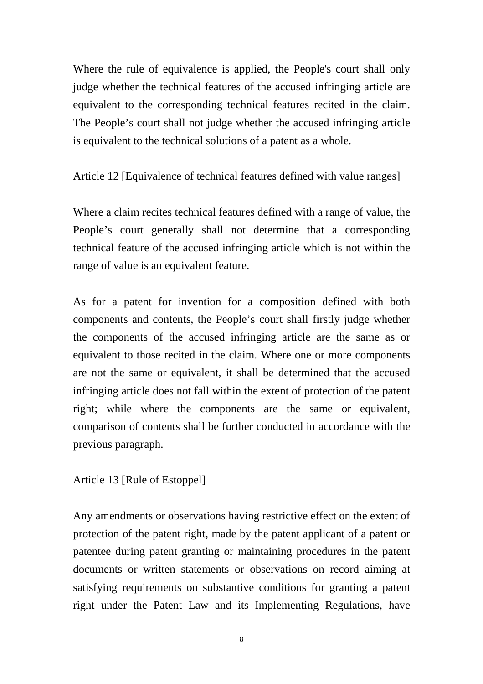Where the rule of equivalence is applied, the People's court shall only judge whether the technical features of the accused infringing article are equivalent to the corresponding technical features recited in the claim. The People's court shall not judge whether the accused infringing article is equivalent to the technical solutions of a patent as a whole.

Article 12 [Equivalence of technical features defined with value ranges]

Where a claim recites technical features defined with a range of value, the People's court generally shall not determine that a corresponding technical feature of the accused infringing article which is not within the range of value is an equivalent feature.

As for a patent for invention for a composition defined with both components and contents, the People's court shall firstly judge whether the components of the accused infringing article are the same as or equivalent to those recited in the claim. Where one or more components are not the same or equivalent, it shall be determined that the accused infringing article does not fall within the extent of protection of the patent right; while where the components are the same or equivalent, comparison of contents shall be further conducted in accordance with the previous paragraph.

Article 13 [Rule of Estoppel]

Any amendments or observations having restrictive effect on the extent of protection of the patent right, made by the patent applicant of a patent or patentee during patent granting or maintaining procedures in the patent documents or written statements or observations on record aiming at satisfying requirements on substantive conditions for granting a patent right under the Patent Law and its Implementing Regulations, have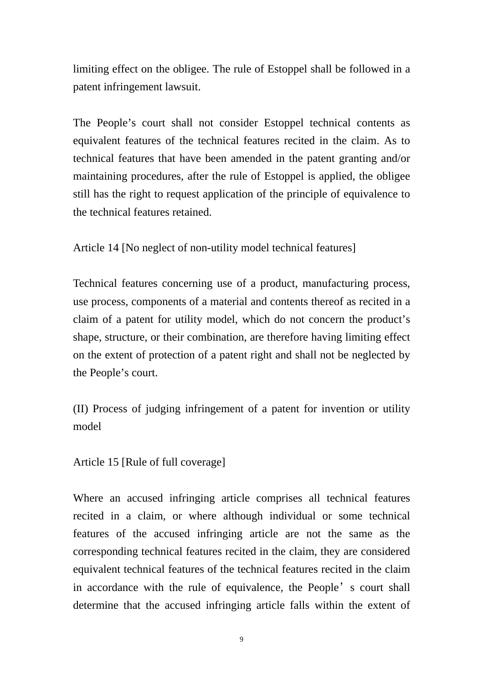limiting effect on the obligee. The rule of Estoppel shall be followed in a patent infringement lawsuit.

The People's court shall not consider Estoppel technical contents as equivalent features of the technical features recited in the claim. As to technical features that have been amended in the patent granting and/or maintaining procedures, after the rule of Estoppel is applied, the obligee still has the right to request application of the principle of equivalence to the technical features retained.

Article 14 [No neglect of non-utility model technical features]

Technical features concerning use of a product, manufacturing process, use process, components of a material and contents thereof as recited in a claim of a patent for utility model, which do not concern the product's shape, structure, or their combination, are therefore having limiting effect on the extent of protection of a patent right and shall not be neglected by the People's court.

(II) Process of judging infringement of a patent for invention or utility model

Article 15 [Rule of full coverage]

Where an accused infringing article comprises all technical features recited in a claim, or where although individual or some technical features of the accused infringing article are not the same as the corresponding technical features recited in the claim, they are considered equivalent technical features of the technical features recited in the claim in accordance with the rule of equivalence, the People's court shall determine that the accused infringing article falls within the extent of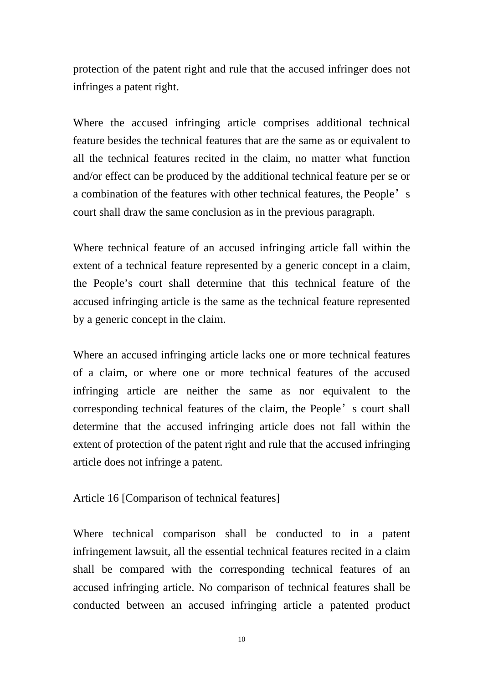protection of the patent right and rule that the accused infringer does not infringes a patent right.

Where the accused infringing article comprises additional technical feature besides the technical features that are the same as or equivalent to all the technical features recited in the claim, no matter what function and/or effect can be produced by the additional technical feature per se or a combination of the features with other technical features, the People's court shall draw the same conclusion as in the previous paragraph.

Where technical feature of an accused infringing article fall within the extent of a technical feature represented by a generic concept in a claim, the People's court shall determine that this technical feature of the accused infringing article is the same as the technical feature represented by a generic concept in the claim.

Where an accused infringing article lacks one or more technical features of a claim, or where one or more technical features of the accused infringing article are neither the same as nor equivalent to the corresponding technical features of the claim, the People's court shall determine that the accused infringing article does not fall within the extent of protection of the patent right and rule that the accused infringing article does not infringe a patent.

# Article 16 [Comparison of technical features]

Where technical comparison shall be conducted to in a patent infringement lawsuit, all the essential technical features recited in a claim shall be compared with the corresponding technical features of an accused infringing article. No comparison of technical features shall be conducted between an accused infringing article a patented product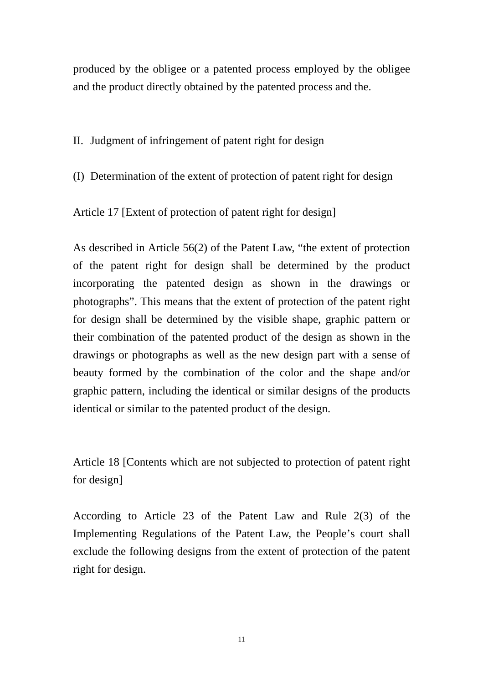produced by the obligee or a patented process employed by the obligee and the product directly obtained by the patented process and the.

II. Judgment of infringement of patent right for design

(I) Determination of the extent of protection of patent right for design

Article 17 [Extent of protection of patent right for design]

As described in Article 56(2) of the Patent Law, "the extent of protection of the patent right for design shall be determined by the product incorporating the patented design as shown in the drawings or photographs". This means that the extent of protection of the patent right for design shall be determined by the visible shape, graphic pattern or their combination of the patented product of the design as shown in the drawings or photographs as well as the new design part with a sense of beauty formed by the combination of the color and the shape and/or graphic pattern, including the identical or similar designs of the products identical or similar to the patented product of the design.

Article 18 [Contents which are not subjected to protection of patent right for design]

According to Article 23 of the Patent Law and Rule 2(3) of the Implementing Regulations of the Patent Law, the People's court shall exclude the following designs from the extent of protection of the patent right for design.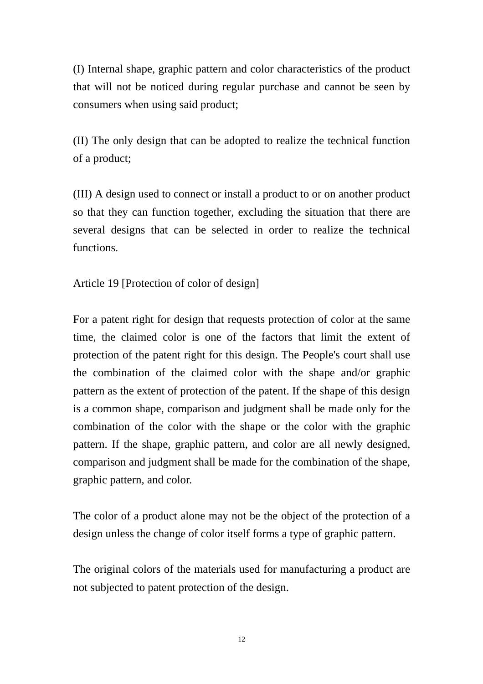(I) Internal shape, graphic pattern and color characteristics of the product that will not be noticed during regular purchase and cannot be seen by consumers when using said product;

(II) The only design that can be adopted to realize the technical function of a product;

(III) A design used to connect or install a product to or on another product so that they can function together, excluding the situation that there are several designs that can be selected in order to realize the technical functions.

Article 19 [Protection of color of design]

For a patent right for design that requests protection of color at the same time, the claimed color is one of the factors that limit the extent of protection of the patent right for this design. The People's court shall use the combination of the claimed color with the shape and/or graphic pattern as the extent of protection of the patent. If the shape of this design is a common shape, comparison and judgment shall be made only for the combination of the color with the shape or the color with the graphic pattern. If the shape, graphic pattern, and color are all newly designed, comparison and judgment shall be made for the combination of the shape, graphic pattern, and color.

The color of a product alone may not be the object of the protection of a design unless the change of color itself forms a type of graphic pattern.

The original colors of the materials used for manufacturing a product are not subjected to patent protection of the design.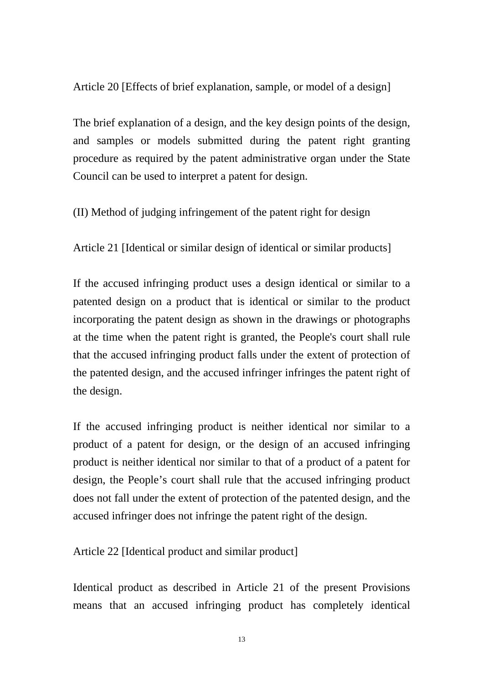Article 20 [Effects of brief explanation, sample, or model of a design]

The brief explanation of a design, and the key design points of the design, and samples or models submitted during the patent right granting procedure as required by the patent administrative organ under the State Council can be used to interpret a patent for design.

(II) Method of judging infringement of the patent right for design

Article 21 [Identical or similar design of identical or similar products]

If the accused infringing product uses a design identical or similar to a patented design on a product that is identical or similar to the product incorporating the patent design as shown in the drawings or photographs at the time when the patent right is granted, the People's court shall rule that the accused infringing product falls under the extent of protection of the patented design, and the accused infringer infringes the patent right of the design.

If the accused infringing product is neither identical nor similar to a product of a patent for design, or the design of an accused infringing product is neither identical nor similar to that of a product of a patent for design, the People's court shall rule that the accused infringing product does not fall under the extent of protection of the patented design, and the accused infringer does not infringe the patent right of the design.

Article 22 [Identical product and similar product]

Identical product as described in Article 21 of the present Provisions means that an accused infringing product has completely identical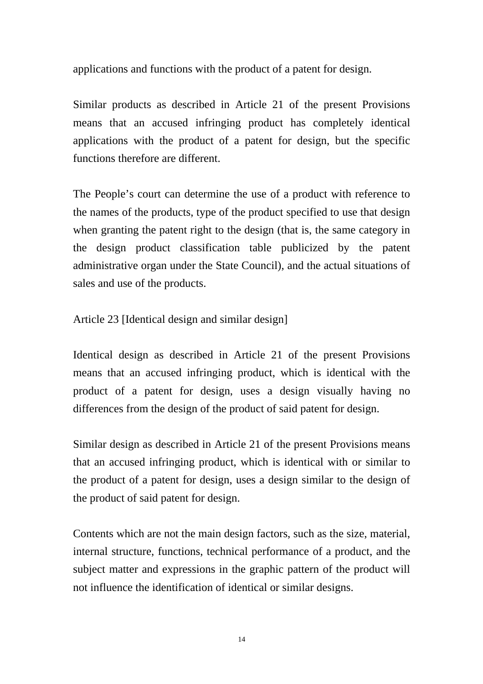applications and functions with the product of a patent for design.

Similar products as described in Article 21 of the present Provisions means that an accused infringing product has completely identical applications with the product of a patent for design, but the specific functions therefore are different.

The People's court can determine the use of a product with reference to the names of the products, type of the product specified to use that design when granting the patent right to the design (that is, the same category in the design product classification table publicized by the patent administrative organ under the State Council), and the actual situations of sales and use of the products.

Article 23 [Identical design and similar design]

Identical design as described in Article 21 of the present Provisions means that an accused infringing product, which is identical with the product of a patent for design, uses a design visually having no differences from the design of the product of said patent for design.

Similar design as described in Article 21 of the present Provisions means that an accused infringing product, which is identical with or similar to the product of a patent for design, uses a design similar to the design of the product of said patent for design.

Contents which are not the main design factors, such as the size, material, internal structure, functions, technical performance of a product, and the subject matter and expressions in the graphic pattern of the product will not influence the identification of identical or similar designs.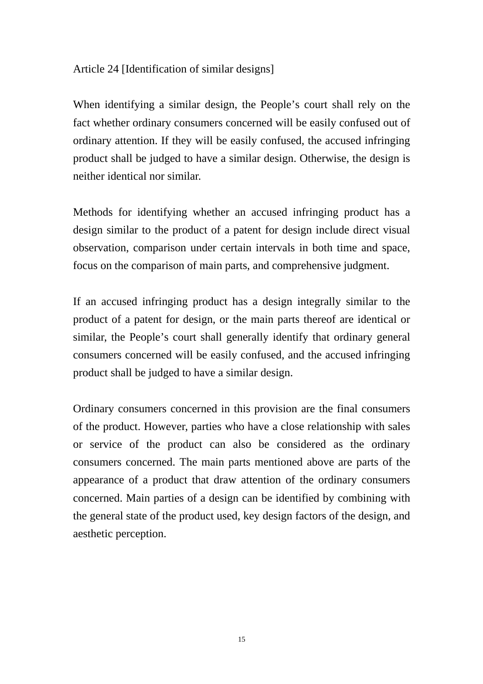# Article 24 [Identification of similar designs]

When identifying a similar design, the People's court shall rely on the fact whether ordinary consumers concerned will be easily confused out of ordinary attention. If they will be easily confused, the accused infringing product shall be judged to have a similar design. Otherwise, the design is neither identical nor similar.

Methods for identifying whether an accused infringing product has a design similar to the product of a patent for design include direct visual observation, comparison under certain intervals in both time and space, focus on the comparison of main parts, and comprehensive judgment.

If an accused infringing product has a design integrally similar to the product of a patent for design, or the main parts thereof are identical or similar, the People's court shall generally identify that ordinary general consumers concerned will be easily confused, and the accused infringing product shall be judged to have a similar design.

Ordinary consumers concerned in this provision are the final consumers of the product. However, parties who have a close relationship with sales or service of the product can also be considered as the ordinary consumers concerned. The main parts mentioned above are parts of the appearance of a product that draw attention of the ordinary consumers concerned. Main parties of a design can be identified by combining with the general state of the product used, key design factors of the design, and aesthetic perception.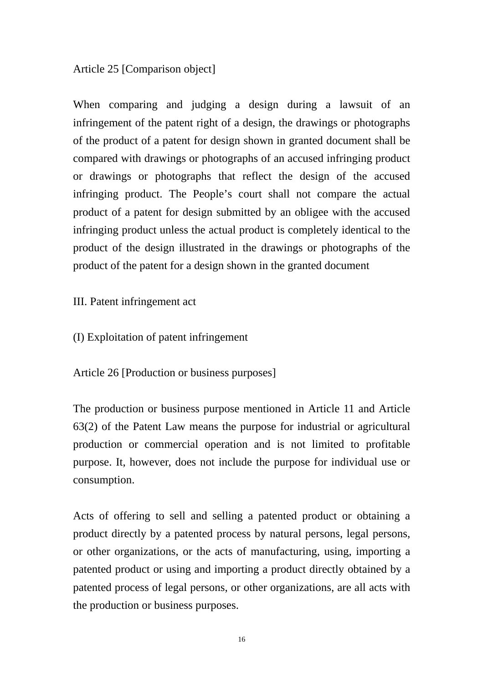## Article 25 [Comparison object]

When comparing and judging a design during a lawsuit of an infringement of the patent right of a design, the drawings or photographs of the product of a patent for design shown in granted document shall be compared with drawings or photographs of an accused infringing product or drawings or photographs that reflect the design of the accused infringing product. The People's court shall not compare the actual product of a patent for design submitted by an obligee with the accused infringing product unless the actual product is completely identical to the product of the design illustrated in the drawings or photographs of the product of the patent for a design shown in the granted document

III. Patent infringement act

(I) Exploitation of patent infringement

Article 26 [Production or business purposes]

The production or business purpose mentioned in Article 11 and Article 63(2) of the Patent Law means the purpose for industrial or agricultural production or commercial operation and is not limited to profitable purpose. It, however, does not include the purpose for individual use or consumption.

Acts of offering to sell and selling a patented product or obtaining a product directly by a patented process by natural persons, legal persons, or other organizations, or the acts of manufacturing, using, importing a patented product or using and importing a product directly obtained by a patented process of legal persons, or other organizations, are all acts with the production or business purposes.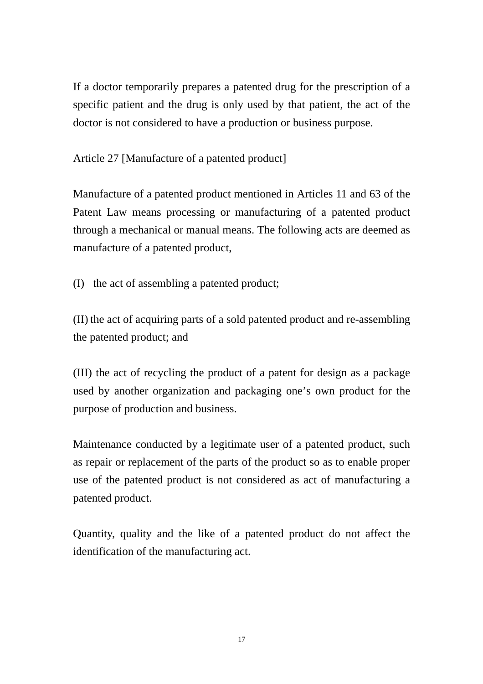If a doctor temporarily prepares a patented drug for the prescription of a specific patient and the drug is only used by that patient, the act of the doctor is not considered to have a production or business purpose.

Article 27 [Manufacture of a patented product]

Manufacture of a patented product mentioned in Articles 11 and 63 of the Patent Law means processing or manufacturing of a patented product through a mechanical or manual means. The following acts are deemed as manufacture of a patented product,

(I) the act of assembling a patented product;

(II) the act of acquiring parts of a sold patented product and re-assembling the patented product; and

(III) the act of recycling the product of a patent for design as a package used by another organization and packaging one's own product for the purpose of production and business.

Maintenance conducted by a legitimate user of a patented product, such as repair or replacement of the parts of the product so as to enable proper use of the patented product is not considered as act of manufacturing a patented product.

Quantity, quality and the like of a patented product do not affect the identification of the manufacturing act.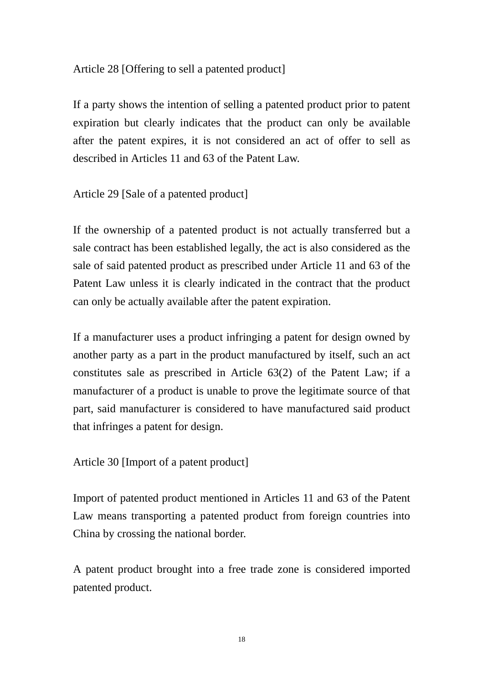### Article 28 [Offering to sell a patented product]

If a party shows the intention of selling a patented product prior to patent expiration but clearly indicates that the product can only be available after the patent expires, it is not considered an act of offer to sell as described in Articles 11 and 63 of the Patent Law.

Article 29 [Sale of a patented product]

If the ownership of a patented product is not actually transferred but a sale contract has been established legally, the act is also considered as the sale of said patented product as prescribed under Article 11 and 63 of the Patent Law unless it is clearly indicated in the contract that the product can only be actually available after the patent expiration.

If a manufacturer uses a product infringing a patent for design owned by another party as a part in the product manufactured by itself, such an act constitutes sale as prescribed in Article 63(2) of the Patent Law; if a manufacturer of a product is unable to prove the legitimate source of that part, said manufacturer is considered to have manufactured said product that infringes a patent for design.

Article 30 [Import of a patent product]

Import of patented product mentioned in Articles 11 and 63 of the Patent Law means transporting a patented product from foreign countries into China by crossing the national border.

A patent product brought into a free trade zone is considered imported patented product.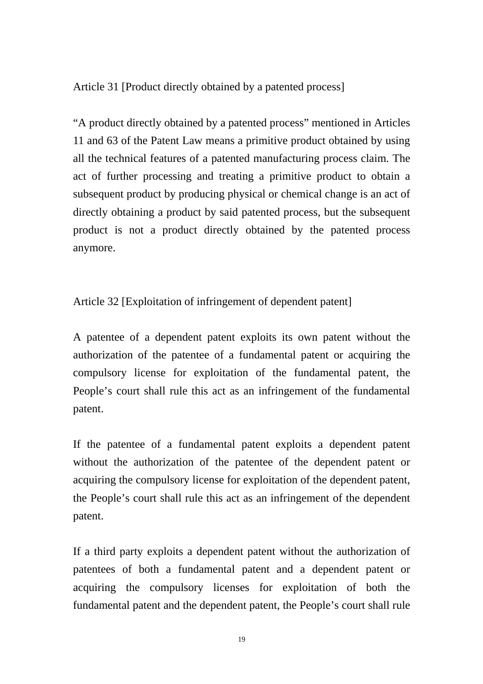Article 31 [Product directly obtained by a patented process]

"A product directly obtained by a patented process" mentioned in Articles 11 and 63 of the Patent Law means a primitive product obtained by using all the technical features of a patented manufacturing process claim. The act of further processing and treating a primitive product to obtain a subsequent product by producing physical or chemical change is an act of directly obtaining a product by said patented process, but the subsequent product is not a product directly obtained by the patented process anymore.

Article 32 [Exploitation of infringement of dependent patent]

A patentee of a dependent patent exploits its own patent without the authorization of the patentee of a fundamental patent or acquiring the compulsory license for exploitation of the fundamental patent, the People's court shall rule this act as an infringement of the fundamental patent.

If the patentee of a fundamental patent exploits a dependent patent without the authorization of the patentee of the dependent patent or acquiring the compulsory license for exploitation of the dependent patent, the People's court shall rule this act as an infringement of the dependent patent.

If a third party exploits a dependent patent without the authorization of patentees of both a fundamental patent and a dependent patent or acquiring the compulsory licenses for exploitation of both the fundamental patent and the dependent patent, the People's court shall rule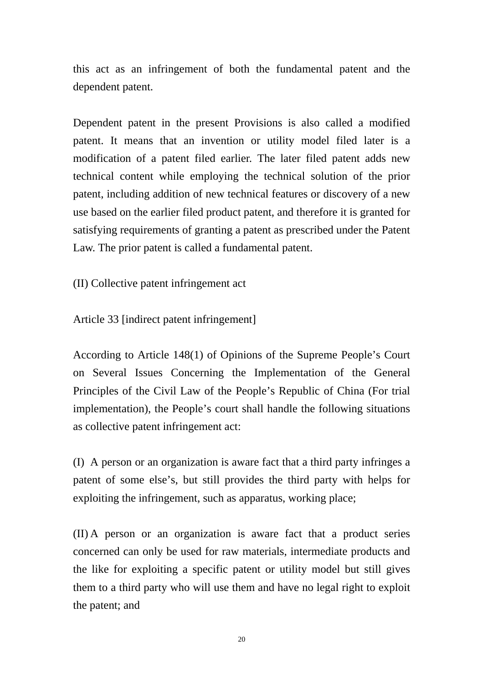this act as an infringement of both the fundamental patent and the dependent patent.

Dependent patent in the present Provisions is also called a modified patent. It means that an invention or utility model filed later is a modification of a patent filed earlier. The later filed patent adds new technical content while employing the technical solution of the prior patent, including addition of new technical features or discovery of a new use based on the earlier filed product patent, and therefore it is granted for satisfying requirements of granting a patent as prescribed under the Patent Law. The prior patent is called a fundamental patent.

(II) Collective patent infringement act

Article 33 [indirect patent infringement]

According to Article 148(1) of Opinions of the Supreme People's Court on Several Issues Concerning the Implementation of the General Principles of the Civil Law of the People's Republic of China (For trial implementation), the People's court shall handle the following situations as collective patent infringement act:

(I) A person or an organization is aware fact that a third party infringes a patent of some else's, but still provides the third party with helps for exploiting the infringement, such as apparatus, working place;

(II) A person or an organization is aware fact that a product series concerned can only be used for raw materials, intermediate products and the like for exploiting a specific patent or utility model but still gives them to a third party who will use them and have no legal right to exploit the patent; and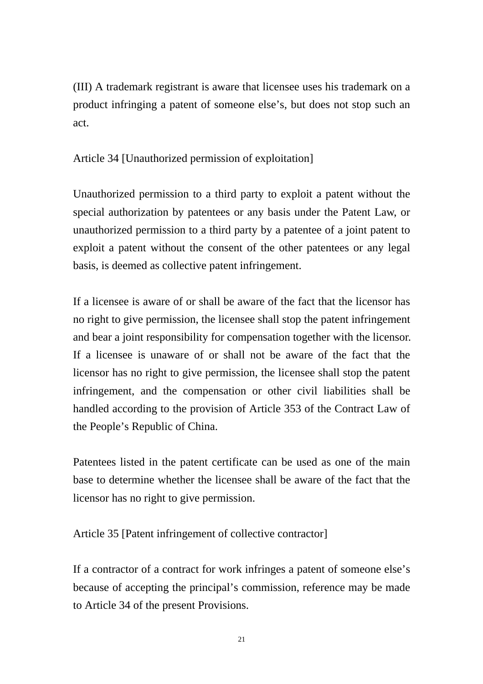(III) A trademark registrant is aware that licensee uses his trademark on a product infringing a patent of someone else's, but does not stop such an act.

Article 34 [Unauthorized permission of exploitation]

Unauthorized permission to a third party to exploit a patent without the special authorization by patentees or any basis under the Patent Law, or unauthorized permission to a third party by a patentee of a joint patent to exploit a patent without the consent of the other patentees or any legal basis, is deemed as collective patent infringement.

If a licensee is aware of or shall be aware of the fact that the licensor has no right to give permission, the licensee shall stop the patent infringement and bear a joint responsibility for compensation together with the licensor. If a licensee is unaware of or shall not be aware of the fact that the licensor has no right to give permission, the licensee shall stop the patent infringement, and the compensation or other civil liabilities shall be handled according to the provision of Article 353 of the Contract Law of the People's Republic of China.

Patentees listed in the patent certificate can be used as one of the main base to determine whether the licensee shall be aware of the fact that the licensor has no right to give permission.

Article 35 [Patent infringement of collective contractor]

If a contractor of a contract for work infringes a patent of someone else's because of accepting the principal's commission, reference may be made to Article 34 of the present Provisions.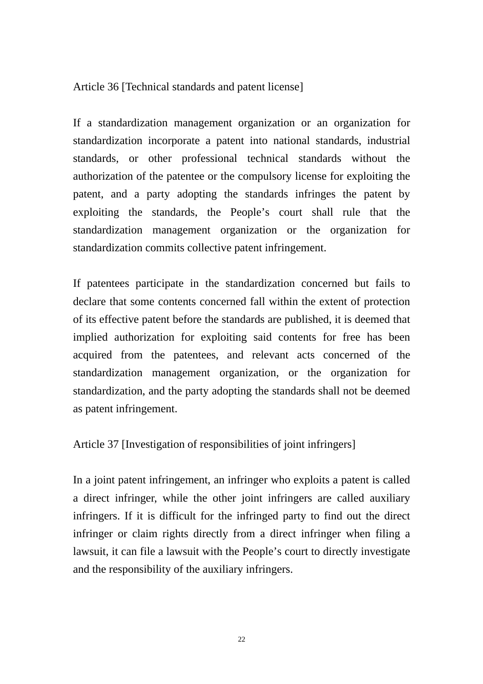Article 36 [Technical standards and patent license]

If a standardization management organization or an organization for standardization incorporate a patent into national standards, industrial standards, or other professional technical standards without the authorization of the patentee or the compulsory license for exploiting the patent, and a party adopting the standards infringes the patent by exploiting the standards, the People's court shall rule that the standardization management organization or the organization for standardization commits collective patent infringement.

If patentees participate in the standardization concerned but fails to declare that some contents concerned fall within the extent of protection of its effective patent before the standards are published, it is deemed that implied authorization for exploiting said contents for free has been acquired from the patentees, and relevant acts concerned of the standardization management organization, or the organization for standardization, and the party adopting the standards shall not be deemed as patent infringement.

Article 37 [Investigation of responsibilities of joint infringers]

In a joint patent infringement, an infringer who exploits a patent is called a direct infringer, while the other joint infringers are called auxiliary infringers. If it is difficult for the infringed party to find out the direct infringer or claim rights directly from a direct infringer when filing a lawsuit, it can file a lawsuit with the People's court to directly investigate and the responsibility of the auxiliary infringers.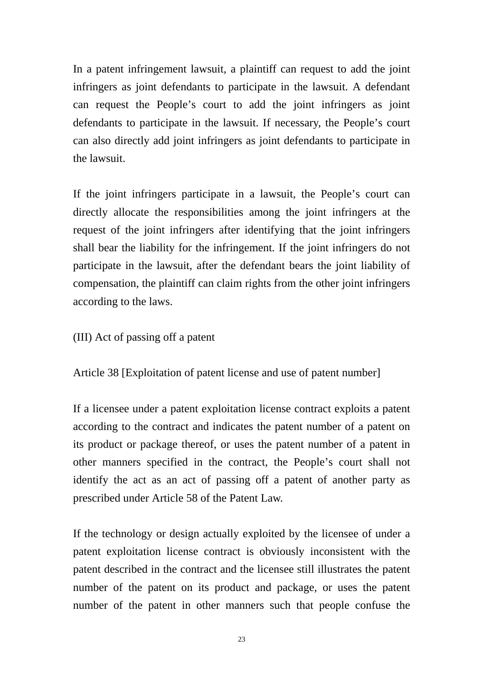In a patent infringement lawsuit, a plaintiff can request to add the joint infringers as joint defendants to participate in the lawsuit. A defendant can request the People's court to add the joint infringers as joint defendants to participate in the lawsuit. If necessary, the People's court can also directly add joint infringers as joint defendants to participate in the lawsuit.

If the joint infringers participate in a lawsuit, the People's court can directly allocate the responsibilities among the joint infringers at the request of the joint infringers after identifying that the joint infringers shall bear the liability for the infringement. If the joint infringers do not participate in the lawsuit, after the defendant bears the joint liability of compensation, the plaintiff can claim rights from the other joint infringers according to the laws.

(III) Act of passing off a patent

Article 38 [Exploitation of patent license and use of patent number]

If a licensee under a patent exploitation license contract exploits a patent according to the contract and indicates the patent number of a patent on its product or package thereof, or uses the patent number of a patent in other manners specified in the contract, the People's court shall not identify the act as an act of passing off a patent of another party as prescribed under Article 58 of the Patent Law.

If the technology or design actually exploited by the licensee of under a patent exploitation license contract is obviously inconsistent with the patent described in the contract and the licensee still illustrates the patent number of the patent on its product and package, or uses the patent number of the patent in other manners such that people confuse the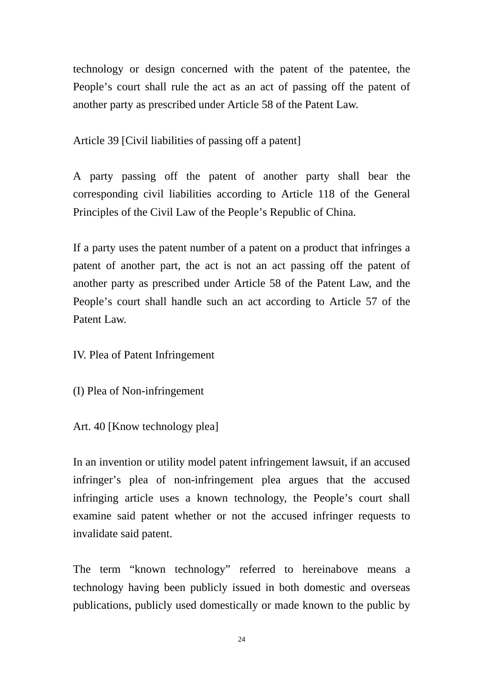technology or design concerned with the patent of the patentee, the People's court shall rule the act as an act of passing off the patent of another party as prescribed under Article 58 of the Patent Law.

Article 39 [Civil liabilities of passing off a patent]

A party passing off the patent of another party shall bear the corresponding civil liabilities according to Article 118 of the General Principles of the Civil Law of the People's Republic of China.

If a party uses the patent number of a patent on a product that infringes a patent of another part, the act is not an act passing off the patent of another party as prescribed under Article 58 of the Patent Law, and the People's court shall handle such an act according to Article 57 of the Patent Law.

IV. Plea of Patent Infringement

(I) Plea of Non-infringement

Art. 40 [Know technology plea]

In an invention or utility model patent infringement lawsuit, if an accused infringer's plea of non-infringement plea argues that the accused infringing article uses a known technology, the People's court shall examine said patent whether or not the accused infringer requests to invalidate said patent.

The term "known technology" referred to hereinabove means a technology having been publicly issued in both domestic and overseas publications, publicly used domestically or made known to the public by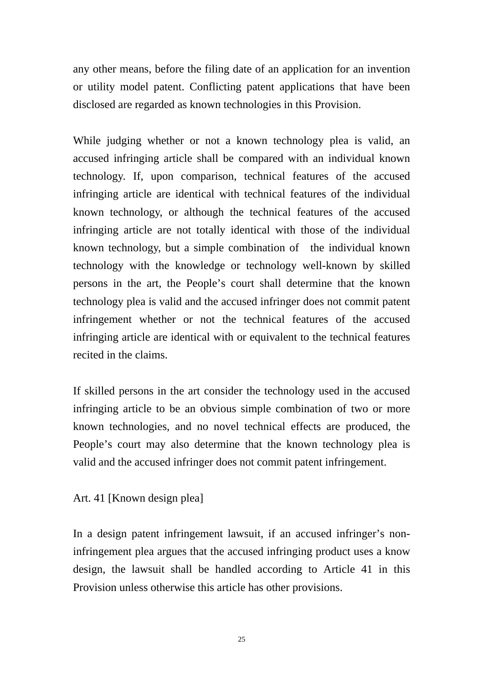any other means, before the filing date of an application for an invention or utility model patent. Conflicting patent applications that have been disclosed are regarded as known technologies in this Provision.

While judging whether or not a known technology plea is valid, an accused infringing article shall be compared with an individual known technology. If, upon comparison, technical features of the accused infringing article are identical with technical features of the individual known technology, or although the technical features of the accused infringing article are not totally identical with those of the individual known technology, but a simple combination of the individual known technology with the knowledge or technology well-known by skilled persons in the art, the People's court shall determine that the known technology plea is valid and the accused infringer does not commit patent infringement whether or not the technical features of the accused infringing article are identical with or equivalent to the technical features recited in the claims.

If skilled persons in the art consider the technology used in the accused infringing article to be an obvious simple combination of two or more known technologies, and no novel technical effects are produced, the People's court may also determine that the known technology plea is valid and the accused infringer does not commit patent infringement.

Art. 41 [Known design plea]

In a design patent infringement lawsuit, if an accused infringer's noninfringement plea argues that the accused infringing product uses a know design, the lawsuit shall be handled according to Article 41 in this Provision unless otherwise this article has other provisions.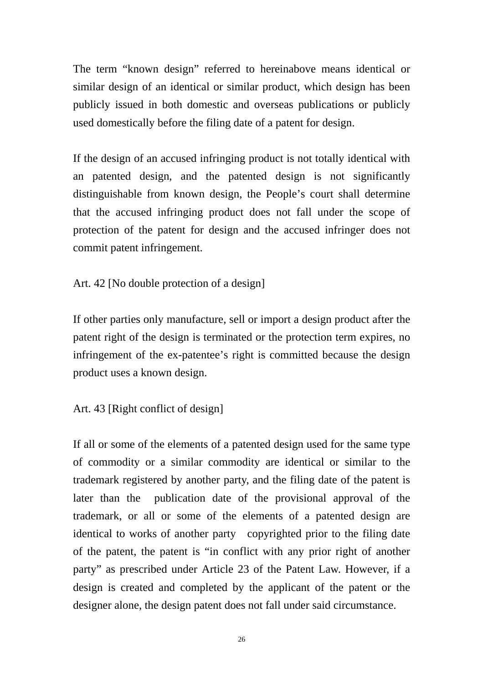The term "known design" referred to hereinabove means identical or similar design of an identical or similar product, which design has been publicly issued in both domestic and overseas publications or publicly used domestically before the filing date of a patent for design.

If the design of an accused infringing product is not totally identical with an patented design, and the patented design is not significantly distinguishable from known design, the People's court shall determine that the accused infringing product does not fall under the scope of protection of the patent for design and the accused infringer does not commit patent infringement.

Art. 42 [No double protection of a design]

If other parties only manufacture, sell or import a design product after the patent right of the design is terminated or the protection term expires, no infringement of the ex-patentee's right is committed because the design product uses a known design.

Art. 43 [Right conflict of design]

If all or some of the elements of a patented design used for the same type of commodity or a similar commodity are identical or similar to the trademark registered by another party, and the filing date of the patent is later than the publication date of the provisional approval of the trademark, or all or some of the elements of a patented design are identical to works of another party copyrighted prior to the filing date of the patent, the patent is "in conflict with any prior right of another party" as prescribed under Article 23 of the Patent Law. However, if a design is created and completed by the applicant of the patent or the designer alone, the design patent does not fall under said circumstance.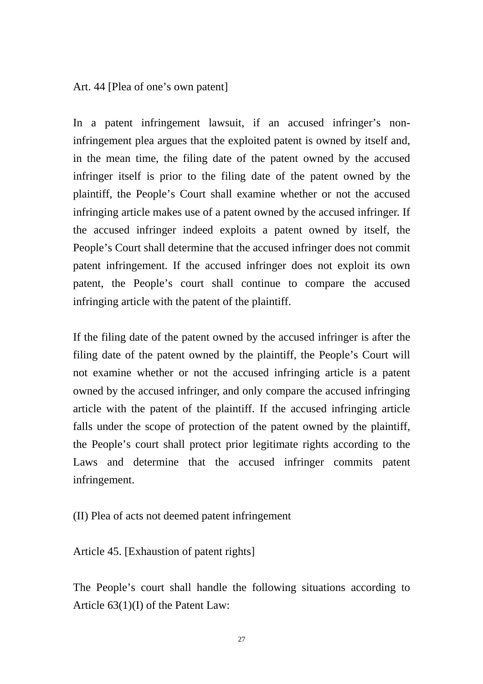Art. 44 [Plea of one's own patent]

In a patent infringement lawsuit, if an accused infringer's noninfringement plea argues that the exploited patent is owned by itself and, in the mean time, the filing date of the patent owned by the accused infringer itself is prior to the filing date of the patent owned by the plaintiff, the People's Court shall examine whether or not the accused infringing article makes use of a patent owned by the accused infringer. If the accused infringer indeed exploits a patent owned by itself, the People's Court shall determine that the accused infringer does not commit patent infringement. If the accused infringer does not exploit its own patent, the People's court shall continue to compare the accused infringing article with the patent of the plaintiff.

If the filing date of the patent owned by the accused infringer is after the filing date of the patent owned by the plaintiff, the People's Court will not examine whether or not the accused infringing article is a patent owned by the accused infringer, and only compare the accused infringing article with the patent of the plaintiff. If the accused infringing article falls under the scope of protection of the patent owned by the plaintiff, the People's court shall protect prior legitimate rights according to the Laws and determine that the accused infringer commits patent infringement.

(II) Plea of acts not deemed patent infringement

Article 45. [Exhaustion of patent rights]

The People's court shall handle the following situations according to Article 63(1)(I) of the Patent Law: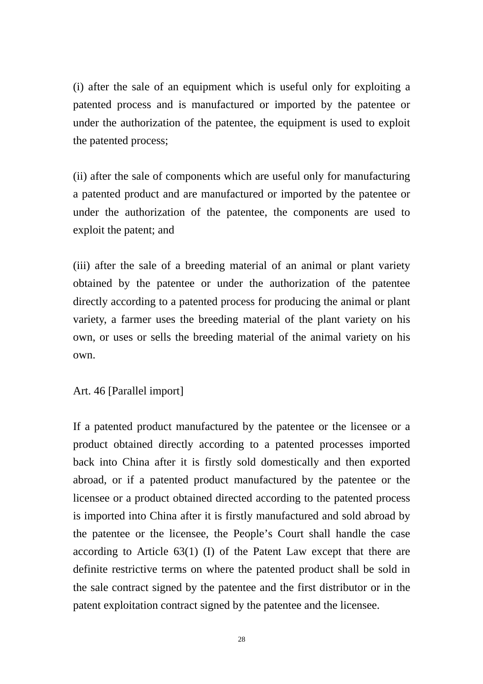(i) after the sale of an equipment which is useful only for exploiting a patented process and is manufactured or imported by the patentee or under the authorization of the patentee, the equipment is used to exploit the patented process;

(ii) after the sale of components which are useful only for manufacturing a patented product and are manufactured or imported by the patentee or under the authorization of the patentee, the components are used to exploit the patent; and

(iii) after the sale of a breeding material of an animal or plant variety obtained by the patentee or under the authorization of the patentee directly according to a patented process for producing the animal or plant variety, a farmer uses the breeding material of the plant variety on his own, or uses or sells the breeding material of the animal variety on his own.

Art. 46 [Parallel import]

If a patented product manufactured by the patentee or the licensee or a product obtained directly according to a patented processes imported back into China after it is firstly sold domestically and then exported abroad, or if a patented product manufactured by the patentee or the licensee or a product obtained directed according to the patented process is imported into China after it is firstly manufactured and sold abroad by the patentee or the licensee, the People's Court shall handle the case according to Article 63(1) (I) of the Patent Law except that there are definite restrictive terms on where the patented product shall be sold in the sale contract signed by the patentee and the first distributor or in the patent exploitation contract signed by the patentee and the licensee.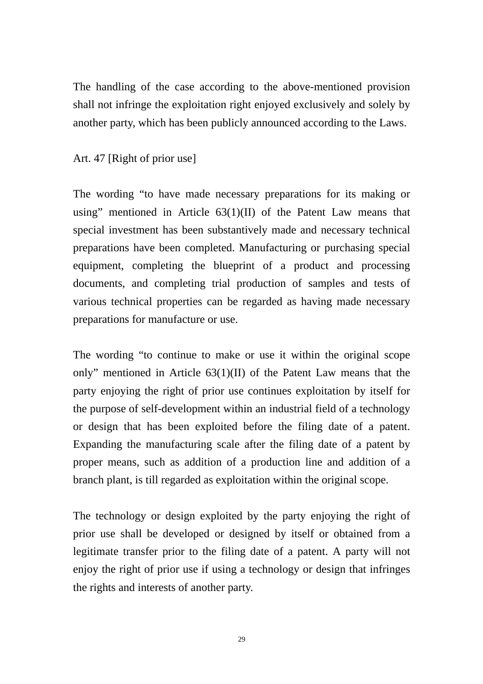The handling of the case according to the above-mentioned provision shall not infringe the exploitation right enjoyed exclusively and solely by another party, which has been publicly announced according to the Laws.

# Art. 47 [Right of prior use]

The wording "to have made necessary preparations for its making or using" mentioned in Article 63(1)(II) of the Patent Law means that special investment has been substantively made and necessary technical preparations have been completed. Manufacturing or purchasing special equipment, completing the blueprint of a product and processing documents, and completing trial production of samples and tests of various technical properties can be regarded as having made necessary preparations for manufacture or use.

The wording "to continue to make or use it within the original scope only" mentioned in Article 63(1)(II) of the Patent Law means that the party enjoying the right of prior use continues exploitation by itself for the purpose of self-development within an industrial field of a technology or design that has been exploited before the filing date of a patent. Expanding the manufacturing scale after the filing date of a patent by proper means, such as addition of a production line and addition of a branch plant, is till regarded as exploitation within the original scope.

The technology or design exploited by the party enjoying the right of prior use shall be developed or designed by itself or obtained from a legitimate transfer prior to the filing date of a patent. A party will not enjoy the right of prior use if using a technology or design that infringes the rights and interests of another party.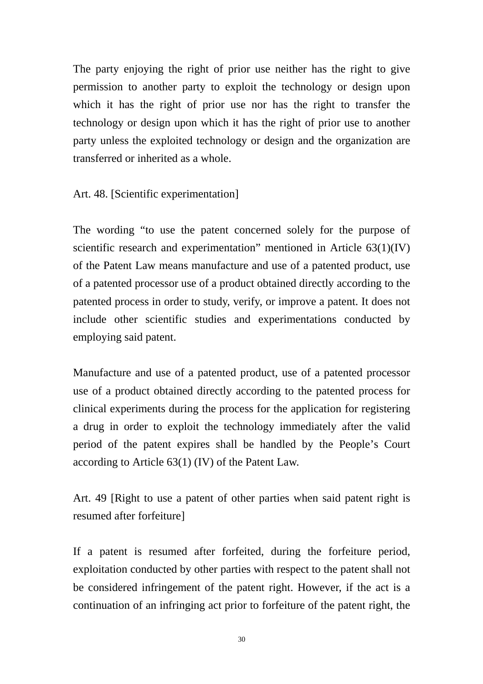The party enjoying the right of prior use neither has the right to give permission to another party to exploit the technology or design upon which it has the right of prior use nor has the right to transfer the technology or design upon which it has the right of prior use to another party unless the exploited technology or design and the organization are transferred or inherited as a whole.

Art. 48. [Scientific experimentation]

The wording "to use the patent concerned solely for the purpose of scientific research and experimentation" mentioned in Article 63(1)(IV) of the Patent Law means manufacture and use of a patented product, use of a patented processor use of a product obtained directly according to the patented process in order to study, verify, or improve a patent. It does not include other scientific studies and experimentations conducted by employing said patent.

Manufacture and use of a patented product, use of a patented processor use of a product obtained directly according to the patented process for clinical experiments during the process for the application for registering a drug in order to exploit the technology immediately after the valid period of the patent expires shall be handled by the People's Court according to Article 63(1) (IV) of the Patent Law.

Art. 49 [Right to use a patent of other parties when said patent right is resumed after forfeiture]

If a patent is resumed after forfeited, during the forfeiture period, exploitation conducted by other parties with respect to the patent shall not be considered infringement of the patent right. However, if the act is a continuation of an infringing act prior to forfeiture of the patent right, the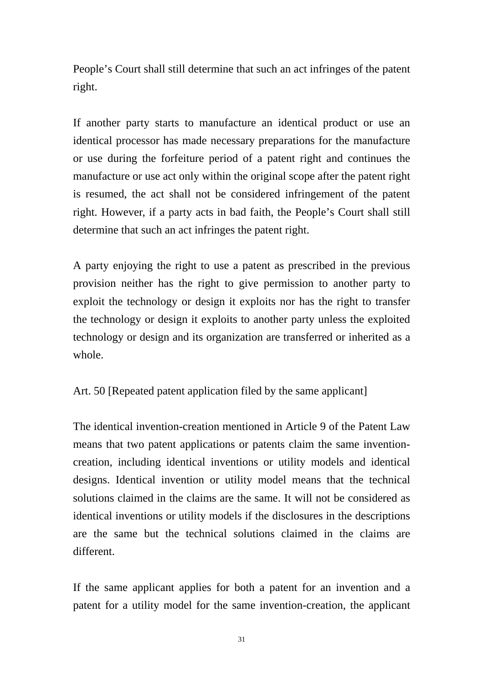People's Court shall still determine that such an act infringes of the patent right.

If another party starts to manufacture an identical product or use an identical processor has made necessary preparations for the manufacture or use during the forfeiture period of a patent right and continues the manufacture or use act only within the original scope after the patent right is resumed, the act shall not be considered infringement of the patent right. However, if a party acts in bad faith, the People's Court shall still determine that such an act infringes the patent right.

A party enjoying the right to use a patent as prescribed in the previous provision neither has the right to give permission to another party to exploit the technology or design it exploits nor has the right to transfer the technology or design it exploits to another party unless the exploited technology or design and its organization are transferred or inherited as a whole.

Art. 50 [Repeated patent application filed by the same applicant]

The identical invention-creation mentioned in Article 9 of the Patent Law means that two patent applications or patents claim the same inventioncreation, including identical inventions or utility models and identical designs. Identical invention or utility model means that the technical solutions claimed in the claims are the same. It will not be considered as identical inventions or utility models if the disclosures in the descriptions are the same but the technical solutions claimed in the claims are different.

If the same applicant applies for both a patent for an invention and a patent for a utility model for the same invention-creation, the applicant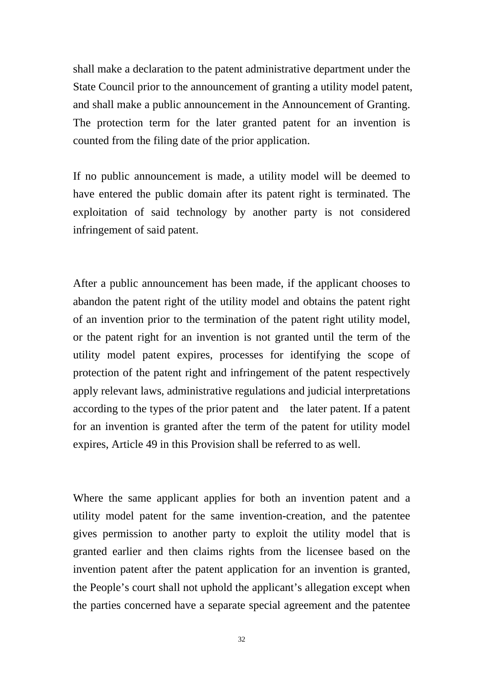shall make a declaration to the patent administrative department under the State Council prior to the announcement of granting a utility model patent, and shall make a public announcement in the Announcement of Granting. The protection term for the later granted patent for an invention is counted from the filing date of the prior application.

If no public announcement is made, a utility model will be deemed to have entered the public domain after its patent right is terminated. The exploitation of said technology by another party is not considered infringement of said patent.

After a public announcement has been made, if the applicant chooses to abandon the patent right of the utility model and obtains the patent right of an invention prior to the termination of the patent right utility model, or the patent right for an invention is not granted until the term of the utility model patent expires, processes for identifying the scope of protection of the patent right and infringement of the patent respectively apply relevant laws, administrative regulations and judicial interpretations according to the types of the prior patent and the later patent. If a patent for an invention is granted after the term of the patent for utility model expires, Article 49 in this Provision shall be referred to as well.

Where the same applicant applies for both an invention patent and a utility model patent for the same invention-creation, and the patentee gives permission to another party to exploit the utility model that is granted earlier and then claims rights from the licensee based on the invention patent after the patent application for an invention is granted, the People's court shall not uphold the applicant's allegation except when the parties concerned have a separate special agreement and the patentee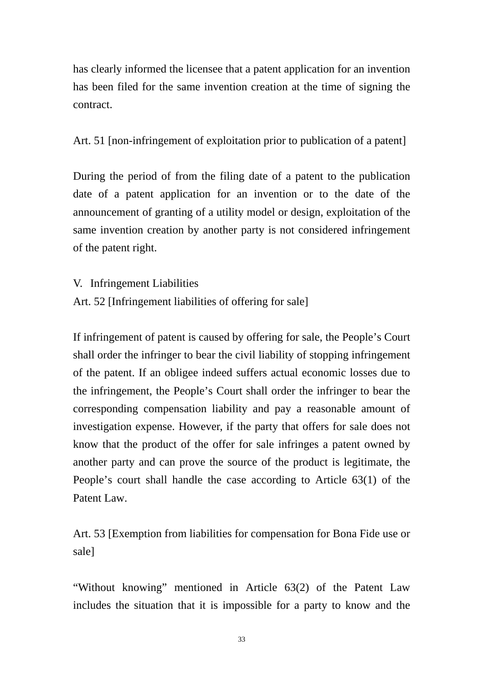has clearly informed the licensee that a patent application for an invention has been filed for the same invention creation at the time of signing the contract.

Art. 51 [non-infringement of exploitation prior to publication of a patent]

During the period of from the filing date of a patent to the publication date of a patent application for an invention or to the date of the announcement of granting of a utility model or design, exploitation of the same invention creation by another party is not considered infringement of the patent right.

V. Infringement Liabilities

Art. 52 [Infringement liabilities of offering for sale]

If infringement of patent is caused by offering for sale, the People's Court shall order the infringer to bear the civil liability of stopping infringement of the patent. If an obligee indeed suffers actual economic losses due to the infringement, the People's Court shall order the infringer to bear the corresponding compensation liability and pay a reasonable amount of investigation expense. However, if the party that offers for sale does not know that the product of the offer for sale infringes a patent owned by another party and can prove the source of the product is legitimate, the People's court shall handle the case according to Article 63(1) of the Patent Law.

Art. 53 [Exemption from liabilities for compensation for Bona Fide use or sale]

"Without knowing" mentioned in Article 63(2) of the Patent Law includes the situation that it is impossible for a party to know and the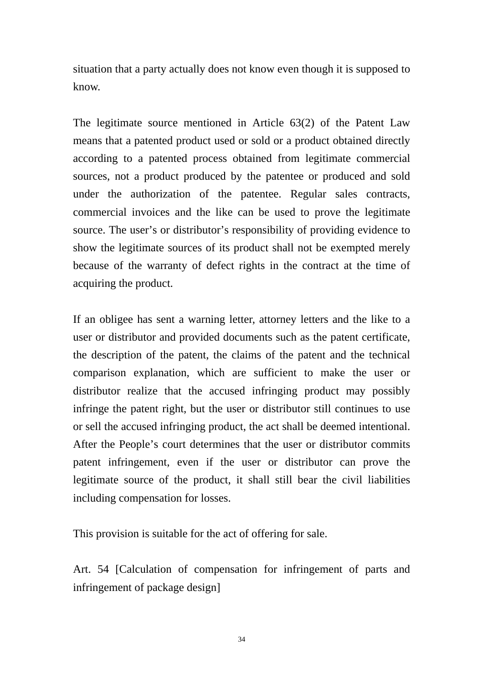situation that a party actually does not know even though it is supposed to know.

The legitimate source mentioned in Article 63(2) of the Patent Law means that a patented product used or sold or a product obtained directly according to a patented process obtained from legitimate commercial sources, not a product produced by the patentee or produced and sold under the authorization of the patentee. Regular sales contracts, commercial invoices and the like can be used to prove the legitimate source. The user's or distributor's responsibility of providing evidence to show the legitimate sources of its product shall not be exempted merely because of the warranty of defect rights in the contract at the time of acquiring the product.

If an obligee has sent a warning letter, attorney letters and the like to a user or distributor and provided documents such as the patent certificate, the description of the patent, the claims of the patent and the technical comparison explanation, which are sufficient to make the user or distributor realize that the accused infringing product may possibly infringe the patent right, but the user or distributor still continues to use or sell the accused infringing product, the act shall be deemed intentional. After the People's court determines that the user or distributor commits patent infringement, even if the user or distributor can prove the legitimate source of the product, it shall still bear the civil liabilities including compensation for losses.

This provision is suitable for the act of offering for sale.

Art. 54 [Calculation of compensation for infringement of parts and infringement of package design]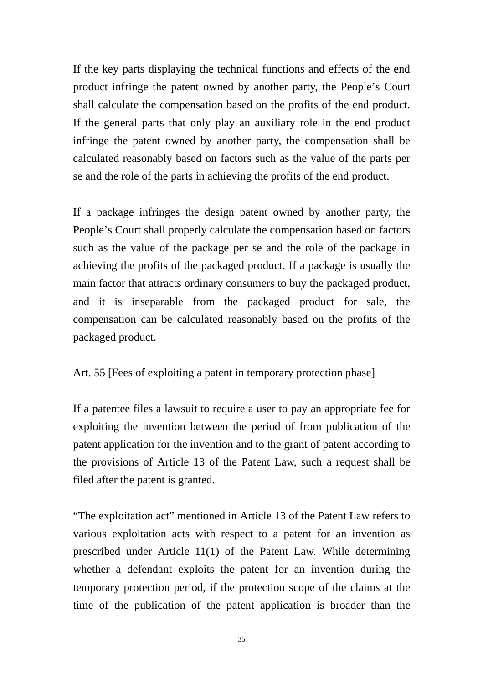If the key parts displaying the technical functions and effects of the end product infringe the patent owned by another party, the People's Court shall calculate the compensation based on the profits of the end product. If the general parts that only play an auxiliary role in the end product infringe the patent owned by another party, the compensation shall be calculated reasonably based on factors such as the value of the parts per se and the role of the parts in achieving the profits of the end product.

If a package infringes the design patent owned by another party, the People's Court shall properly calculate the compensation based on factors such as the value of the package per se and the role of the package in achieving the profits of the packaged product. If a package is usually the main factor that attracts ordinary consumers to buy the packaged product, and it is inseparable from the packaged product for sale, the compensation can be calculated reasonably based on the profits of the packaged product.

Art. 55 [Fees of exploiting a patent in temporary protection phase]

If a patentee files a lawsuit to require a user to pay an appropriate fee for exploiting the invention between the period of from publication of the patent application for the invention and to the grant of patent according to the provisions of Article 13 of the Patent Law, such a request shall be filed after the patent is granted.

"The exploitation act" mentioned in Article 13 of the Patent Law refers to various exploitation acts with respect to a patent for an invention as prescribed under Article 11(1) of the Patent Law. While determining whether a defendant exploits the patent for an invention during the temporary protection period, if the protection scope of the claims at the time of the publication of the patent application is broader than the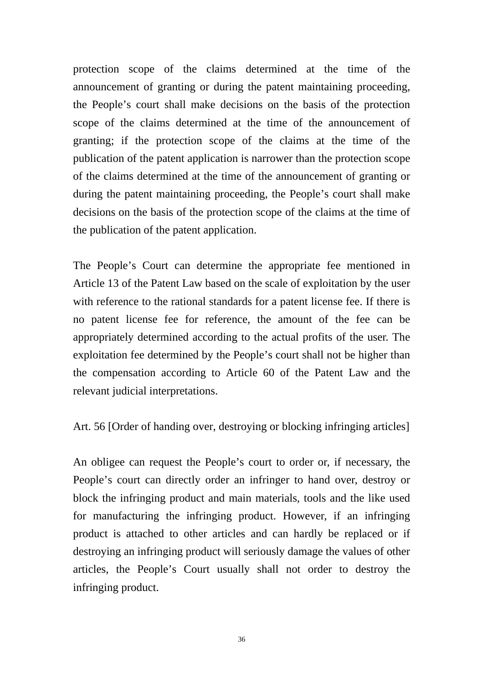protection scope of the claims determined at the time of the announcement of granting or during the patent maintaining proceeding, the People's court shall make decisions on the basis of the protection scope of the claims determined at the time of the announcement of granting; if the protection scope of the claims at the time of the publication of the patent application is narrower than the protection scope of the claims determined at the time of the announcement of granting or during the patent maintaining proceeding, the People's court shall make decisions on the basis of the protection scope of the claims at the time of the publication of the patent application.

The People's Court can determine the appropriate fee mentioned in Article 13 of the Patent Law based on the scale of exploitation by the user with reference to the rational standards for a patent license fee. If there is no patent license fee for reference, the amount of the fee can be appropriately determined according to the actual profits of the user. The exploitation fee determined by the People's court shall not be higher than the compensation according to Article 60 of the Patent Law and the relevant judicial interpretations.

Art. 56 [Order of handing over, destroying or blocking infringing articles]

An obligee can request the People's court to order or, if necessary, the People's court can directly order an infringer to hand over, destroy or block the infringing product and main materials, tools and the like used for manufacturing the infringing product. However, if an infringing product is attached to other articles and can hardly be replaced or if destroying an infringing product will seriously damage the values of other articles, the People's Court usually shall not order to destroy the infringing product.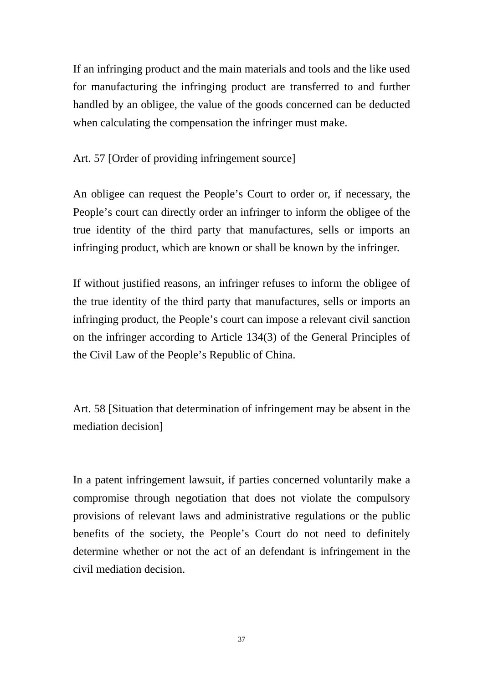If an infringing product and the main materials and tools and the like used for manufacturing the infringing product are transferred to and further handled by an obligee, the value of the goods concerned can be deducted when calculating the compensation the infringer must make.

Art. 57 [Order of providing infringement source]

An obligee can request the People's Court to order or, if necessary, the People's court can directly order an infringer to inform the obligee of the true identity of the third party that manufactures, sells or imports an infringing product, which are known or shall be known by the infringer.

If without justified reasons, an infringer refuses to inform the obligee of the true identity of the third party that manufactures, sells or imports an infringing product, the People's court can impose a relevant civil sanction on the infringer according to Article 134(3) of the General Principles of the Civil Law of the People's Republic of China.

Art. 58 [Situation that determination of infringement may be absent in the mediation decision]

In a patent infringement lawsuit, if parties concerned voluntarily make a compromise through negotiation that does not violate the compulsory provisions of relevant laws and administrative regulations or the public benefits of the society, the People's Court do not need to definitely determine whether or not the act of an defendant is infringement in the civil mediation decision.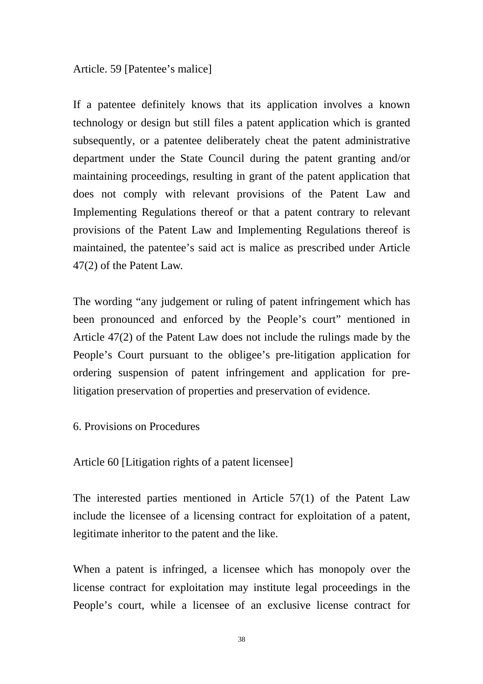#### Article. 59 [Patentee's malice]

If a patentee definitely knows that its application involves a known technology or design but still files a patent application which is granted subsequently, or a patentee deliberately cheat the patent administrative department under the State Council during the patent granting and/or maintaining proceedings, resulting in grant of the patent application that does not comply with relevant provisions of the Patent Law and Implementing Regulations thereof or that a patent contrary to relevant provisions of the Patent Law and Implementing Regulations thereof is maintained, the patentee's said act is malice as prescribed under Article 47(2) of the Patent Law.

The wording "any judgement or ruling of patent infringement which has been pronounced and enforced by the People's court" mentioned in Article 47(2) of the Patent Law does not include the rulings made by the People's Court pursuant to the obligee's pre-litigation application for ordering suspension of patent infringement and application for prelitigation preservation of properties and preservation of evidence.

6. Provisions on Procedures

Article 60 [Litigation rights of a patent licensee]

The interested parties mentioned in Article 57(1) of the Patent Law include the licensee of a licensing contract for exploitation of a patent, legitimate inheritor to the patent and the like.

When a patent is infringed, a licensee which has monopoly over the license contract for exploitation may institute legal proceedings in the People's court, while a licensee of an exclusive license contract for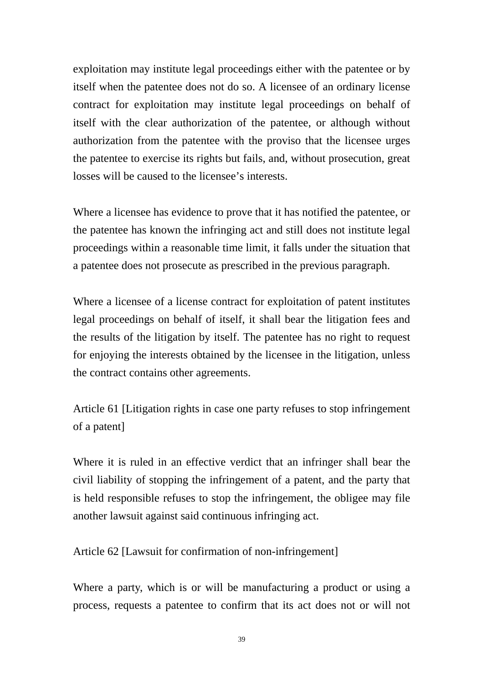exploitation may institute legal proceedings either with the patentee or by itself when the patentee does not do so. A licensee of an ordinary license contract for exploitation may institute legal proceedings on behalf of itself with the clear authorization of the patentee, or although without authorization from the patentee with the proviso that the licensee urges the patentee to exercise its rights but fails, and, without prosecution, great losses will be caused to the licensee's interests.

Where a licensee has evidence to prove that it has notified the patentee, or the patentee has known the infringing act and still does not institute legal proceedings within a reasonable time limit, it falls under the situation that a patentee does not prosecute as prescribed in the previous paragraph.

Where a licensee of a license contract for exploitation of patent institutes legal proceedings on behalf of itself, it shall bear the litigation fees and the results of the litigation by itself. The patentee has no right to request for enjoying the interests obtained by the licensee in the litigation, unless the contract contains other agreements.

Article 61 [Litigation rights in case one party refuses to stop infringement of a patent]

Where it is ruled in an effective verdict that an infringer shall bear the civil liability of stopping the infringement of a patent, and the party that is held responsible refuses to stop the infringement, the obligee may file another lawsuit against said continuous infringing act.

Article 62 [Lawsuit for confirmation of non-infringement]

Where a party, which is or will be manufacturing a product or using a process, requests a patentee to confirm that its act does not or will not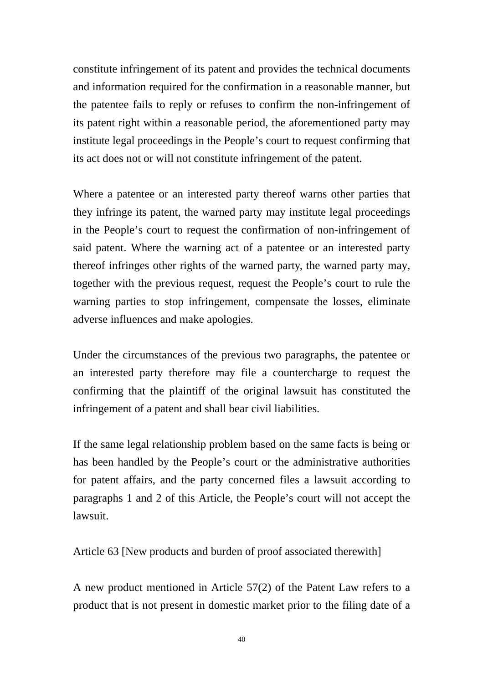constitute infringement of its patent and provides the technical documents and information required for the confirmation in a reasonable manner, but the patentee fails to reply or refuses to confirm the non-infringement of its patent right within a reasonable period, the aforementioned party may institute legal proceedings in the People's court to request confirming that its act does not or will not constitute infringement of the patent.

Where a patentee or an interested party thereof warns other parties that they infringe its patent, the warned party may institute legal proceedings in the People's court to request the confirmation of non-infringement of said patent. Where the warning act of a patentee or an interested party thereof infringes other rights of the warned party, the warned party may, together with the previous request, request the People's court to rule the warning parties to stop infringement, compensate the losses, eliminate adverse influences and make apologies.

Under the circumstances of the previous two paragraphs, the patentee or an interested party therefore may file a countercharge to request the confirming that the plaintiff of the original lawsuit has constituted the infringement of a patent and shall bear civil liabilities.

If the same legal relationship problem based on the same facts is being or has been handled by the People's court or the administrative authorities for patent affairs, and the party concerned files a lawsuit according to paragraphs 1 and 2 of this Article, the People's court will not accept the lawsuit.

Article 63 [New products and burden of proof associated therewith]

A new product mentioned in Article 57(2) of the Patent Law refers to a product that is not present in domestic market prior to the filing date of a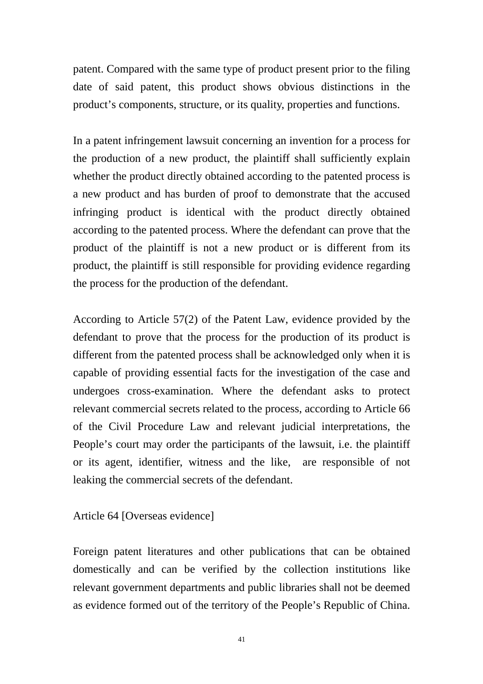patent. Compared with the same type of product present prior to the filing date of said patent, this product shows obvious distinctions in the product's components, structure, or its quality, properties and functions.

In a patent infringement lawsuit concerning an invention for a process for the production of a new product, the plaintiff shall sufficiently explain whether the product directly obtained according to the patented process is a new product and has burden of proof to demonstrate that the accused infringing product is identical with the product directly obtained according to the patented process. Where the defendant can prove that the product of the plaintiff is not a new product or is different from its product, the plaintiff is still responsible for providing evidence regarding the process for the production of the defendant.

According to Article 57(2) of the Patent Law, evidence provided by the defendant to prove that the process for the production of its product is different from the patented process shall be acknowledged only when it is capable of providing essential facts for the investigation of the case and undergoes cross-examination. Where the defendant asks to protect relevant commercial secrets related to the process, according to Article 66 of the Civil Procedure Law and relevant judicial interpretations, the People's court may order the participants of the lawsuit, i.e. the plaintiff or its agent, identifier, witness and the like, are responsible of not leaking the commercial secrets of the defendant.

Article 64 [Overseas evidence]

Foreign patent literatures and other publications that can be obtained domestically and can be verified by the collection institutions like relevant government departments and public libraries shall not be deemed as evidence formed out of the territory of the People's Republic of China.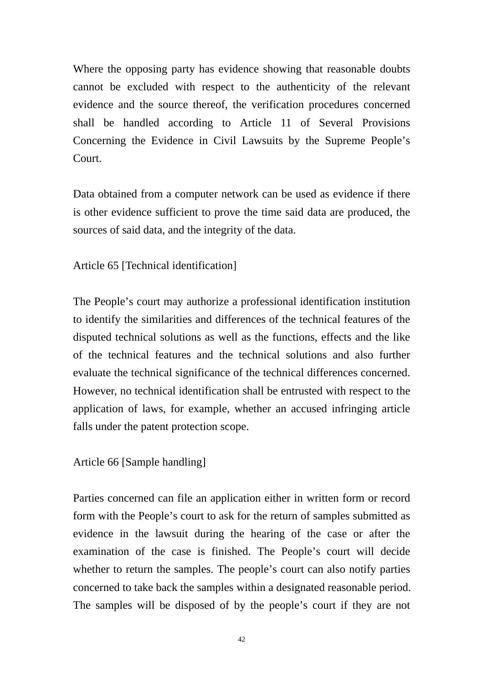Where the opposing party has evidence showing that reasonable doubts cannot be excluded with respect to the authenticity of the relevant evidence and the source thereof, the verification procedures concerned shall be handled according to Article 11 of Several Provisions Concerning the Evidence in Civil Lawsuits by the Supreme People's Court.

Data obtained from a computer network can be used as evidence if there is other evidence sufficient to prove the time said data are produced, the sources of said data, and the integrity of the data.

Article 65 [Technical identification]

The People's court may authorize a professional identification institution to identify the similarities and differences of the technical features of the disputed technical solutions as well as the functions, effects and the like of the technical features and the technical solutions and also further evaluate the technical significance of the technical differences concerned. However, no technical identification shall be entrusted with respect to the application of laws, for example, whether an accused infringing article falls under the patent protection scope.

Article 66 [Sample handling]

Parties concerned can file an application either in written form or record form with the People's court to ask for the return of samples submitted as evidence in the lawsuit during the hearing of the case or after the examination of the case is finished. The People's court will decide whether to return the samples. The people's court can also notify parties concerned to take back the samples within a designated reasonable period. The samples will be disposed of by the people's court if they are not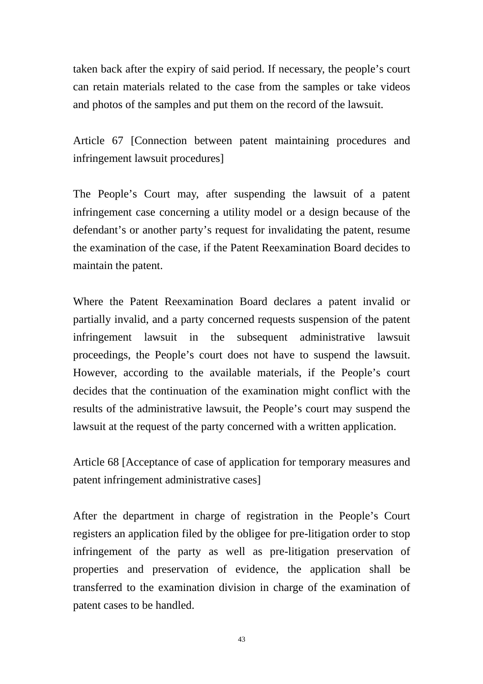taken back after the expiry of said period. If necessary, the people's court can retain materials related to the case from the samples or take videos and photos of the samples and put them on the record of the lawsuit.

Article 67 [Connection between patent maintaining procedures and infringement lawsuit procedures]

The People's Court may, after suspending the lawsuit of a patent infringement case concerning a utility model or a design because of the defendant's or another party's request for invalidating the patent, resume the examination of the case, if the Patent Reexamination Board decides to maintain the patent.

Where the Patent Reexamination Board declares a patent invalid or partially invalid, and a party concerned requests suspension of the patent infringement lawsuit in the subsequent administrative lawsuit proceedings, the People's court does not have to suspend the lawsuit. However, according to the available materials, if the People's court decides that the continuation of the examination might conflict with the results of the administrative lawsuit, the People's court may suspend the lawsuit at the request of the party concerned with a written application.

Article 68 [Acceptance of case of application for temporary measures and patent infringement administrative cases]

After the department in charge of registration in the People's Court registers an application filed by the obligee for pre-litigation order to stop infringement of the party as well as pre-litigation preservation of properties and preservation of evidence, the application shall be transferred to the examination division in charge of the examination of patent cases to be handled.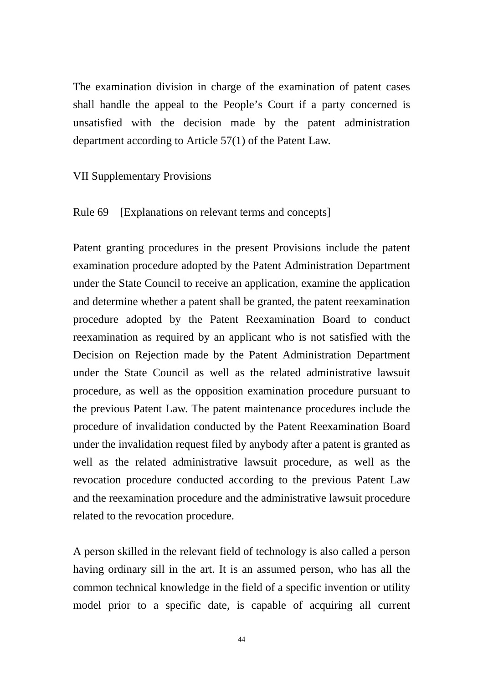The examination division in charge of the examination of patent cases shall handle the appeal to the People's Court if a party concerned is unsatisfied with the decision made by the patent administration department according to Article 57(1) of the Patent Law.

VII Supplementary Provisions

Rule 69 [Explanations on relevant terms and concepts]

Patent granting procedures in the present Provisions include the patent examination procedure adopted by the Patent Administration Department under the State Council to receive an application, examine the application and determine whether a patent shall be granted, the patent reexamination procedure adopted by the Patent Reexamination Board to conduct reexamination as required by an applicant who is not satisfied with the Decision on Rejection made by the Patent Administration Department under the State Council as well as the related administrative lawsuit procedure, as well as the opposition examination procedure pursuant to the previous Patent Law. The patent maintenance procedures include the procedure of invalidation conducted by the Patent Reexamination Board under the invalidation request filed by anybody after a patent is granted as well as the related administrative lawsuit procedure, as well as the revocation procedure conducted according to the previous Patent Law and the reexamination procedure and the administrative lawsuit procedure related to the revocation procedure.

A person skilled in the relevant field of technology is also called a person having ordinary sill in the art. It is an assumed person, who has all the common technical knowledge in the field of a specific invention or utility model prior to a specific date, is capable of acquiring all current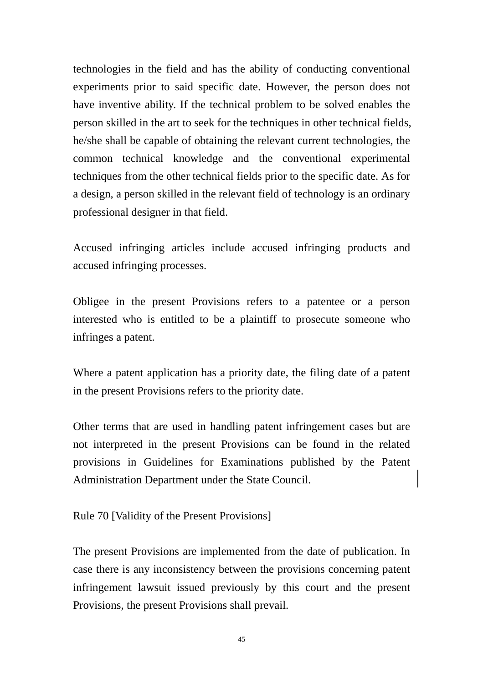technologies in the field and has the ability of conducting conventional experiments prior to said specific date. However, the person does not have inventive ability. If the technical problem to be solved enables the person skilled in the art to seek for the techniques in other technical fields, he/she shall be capable of obtaining the relevant current technologies, the common technical knowledge and the conventional experimental techniques from the other technical fields prior to the specific date. As for a design, a person skilled in the relevant field of technology is an ordinary professional designer in that field.

Accused infringing articles include accused infringing products and accused infringing processes.

Obligee in the present Provisions refers to a patentee or a person interested who is entitled to be a plaintiff to prosecute someone who infringes a patent.

Where a patent application has a priority date, the filing date of a patent in the present Provisions refers to the priority date.

Other terms that are used in handling patent infringement cases but are not interpreted in the present Provisions can be found in the related provisions in Guidelines for Examinations published by the Patent Administration Department under the State Council.

Rule 70 [Validity of the Present Provisions]

The present Provisions are implemented from the date of publication. In case there is any inconsistency between the provisions concerning patent infringement lawsuit issued previously by this court and the present Provisions, the present Provisions shall prevail.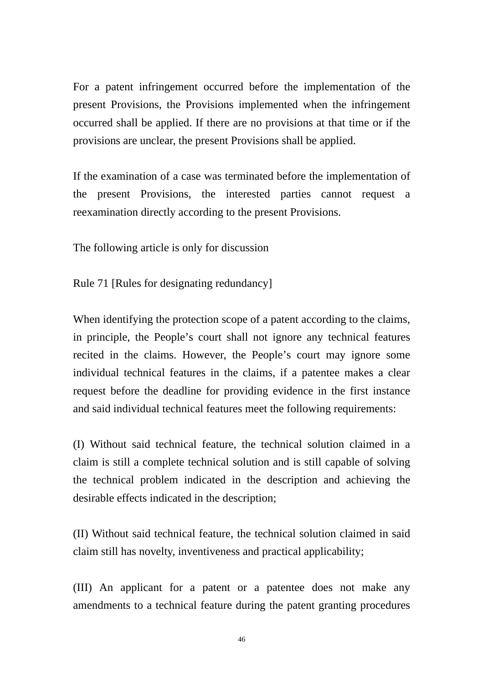For a patent infringement occurred before the implementation of the present Provisions, the Provisions implemented when the infringement occurred shall be applied. If there are no provisions at that time or if the provisions are unclear, the present Provisions shall be applied.

If the examination of a case was terminated before the implementation of the present Provisions, the interested parties cannot request a reexamination directly according to the present Provisions.

The following article is only for discussion

Rule 71 [Rules for designating redundancy]

When identifying the protection scope of a patent according to the claims, in principle, the People's court shall not ignore any technical features recited in the claims. However, the People's court may ignore some individual technical features in the claims, if a patentee makes a clear request before the deadline for providing evidence in the first instance and said individual technical features meet the following requirements:

(I) Without said technical feature, the technical solution claimed in a claim is still a complete technical solution and is still capable of solving the technical problem indicated in the description and achieving the desirable effects indicated in the description;

(II) Without said technical feature, the technical solution claimed in said claim still has novelty, inventiveness and practical applicability;

(III) An applicant for a patent or a patentee does not make any amendments to a technical feature during the patent granting procedures